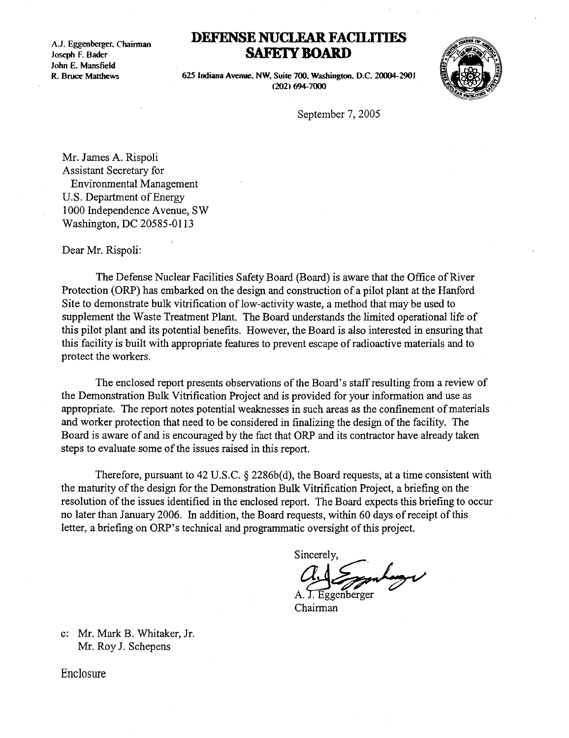A.1. Eggenberger, Chairman  $\begin{array}{c}\n\mathbf{A} & \mathbf{F}\mathbf{c}\n\end{array}$ John E. Mansfield R. Bruce Matthews

## DEFENSE NUCLEAR FA SAFETY BOARD

625 Indiana Avenue, NW, Suite 700, Washington, D.C. 20004-2901 (202) 694-7000



September 7, 2005

Mr. James A. Rispoli Assistant Secretary for Environmental Management U.S. Department of Energy 1000 Independence Avenue, SW Washington, DC 20585-0113

Dear Mr. Rispoli:

The Defense Nuclear Facilities Safety Board (Board) is aware that the Office of River Protection (ORP) has embarked on the design and construction of a pilot plant at the Hanford Site to demonstrate bulk vitrification of low-activity waste, a method that may be used to supplement the Waste Treatment Plant. The Board understands the limited operational life of this pilot plant and its potential benefits . However, the Board is also interested in ensuring that this facility is built with appropriate features to prevent escape of radioactive materials and to protect the workers .

The enclosed report presents observations of the Board's staff resulting from a review of the Demonstration Bulk Vitrification Project and is provided for your information and use as appropriate. The report notes potential weaknesses in such areas as the confinement of materials and worker protection that need to be considered in finalizing the design of the facility. The Board is aware of and is encouraged by the fact that ORP and its contractor have already taken steps to evaluate some of the issues raised in this report.

Therefore, pursuant to 42 U.S.C.  $\S$  2286b(d), the Board requests, at a time consistent with the maturity of the design for the Demonstration Bulk Vitrification Project, a briefing on the resolution of the issues identified in the enclosed report. The Board expects this briefing to occur no later than January 2006. In addition, the Board requests, within 60 days of receipt of this letter, a briefing on ORP's technical and programmatic oversight of this project.

Sincerely,

zgenberger

Chairman

c: Mr. Mark B. Whitaker, Jr. Mr. Roy J. Schepens

Enclosure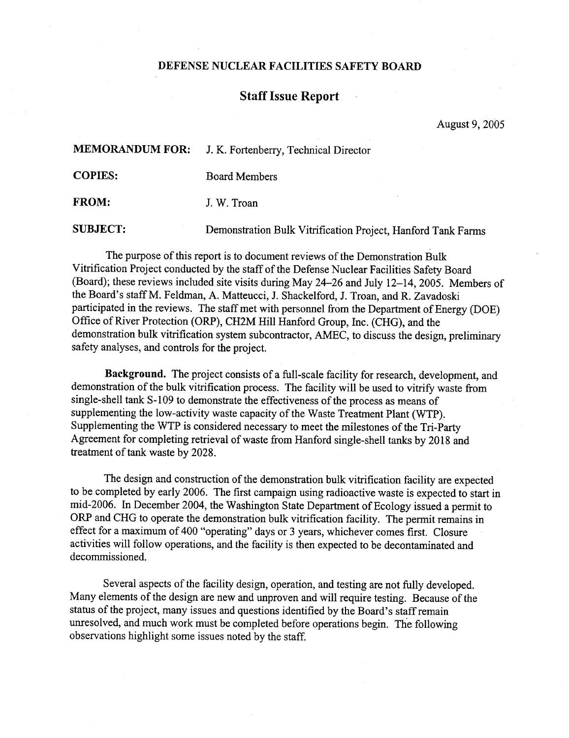## DEFENSE NUCLEAR FACILITIES SAFETY BOARD

## Staff Issue Report

August 9, 2005

MEMORANDUM FOR: J. K. Fortenberry, Technical Director DEFENSE NUCLEAR FACILITIES SAFETY BOARD<br>
Staff Issue Report<br>
August 9,<br>
MEMORANDUM FOR: J. K. Fortenberry, Technical Director<br>
COPIES: Board Members<br>
FROM: J. W. Troan<br>
SUBJECT: Demonstration Bulk Vitrification Project, Ha

COPIES:

 

Board Members

FROM: J. W. Troan

SUBJECT:

The purpose of this report is to document reviews of the Demonstration Bulk Vitrification Project conducted by the staff of the Defense Nuclear Facilities Safety Board (Board); these reviews included site visits during May 24-26 and July 12-14, 2005. Members of the Board's staff M. Feldman, A. Matteucci, J. Shackelford, J. Troan, and R. Zavadoski participated in the reviews. The staff met with personnel from the Department of Energy (DOE) Office of River Protection (ORP), CH2M Hill Hanford Group, Inc . (CHG), and the demonstration bulk vitrification system subcontractor, AMEC, to discuss the design, preliminary safety analyses, and controls for the project.

Background. The project consists of a full-scale facility for research, development, and demonstration of the bulk vitrification process. The facility will be used to vitrify waste from single-shell tank S-109 to demonstrate the effectiveness of the process as means of supplementing the low-activity waste capacity of the Waste Treatment Plant (WTP). Supplementing the WTP is considered necessary to meet the milestones of the Tri-Party Agreement for completing retrieval of waste from Hanford single-shell tanks by 2018 and treatment of tank waste by 2028 .

The design and construction of the demonstration bulk vitrification facility are expected to be completed by early 2006. The first campaign using radioactive waste is expected to start in mid-2006. In December 2004, the Washington State Department of Ecology issued a permit to ORP and CHG to operate the demonstration bulk vitrification facility. The permit remains in effect for a maximum of 400 "operating" days or 3 years, whichever comes first. Closure activities will follow operations, and the facility is then expected to be decontaminated and decommissioned.

Several aspects of the facility design, operation, and testing are not fully developed. Many elements of the design are new and unproven and will require testing. Because of the status of the project, many issues and questions identified by the Board's staff remain unresolved, and much work must be completed before operations begin. The following observations highlight some issues noted by the staff.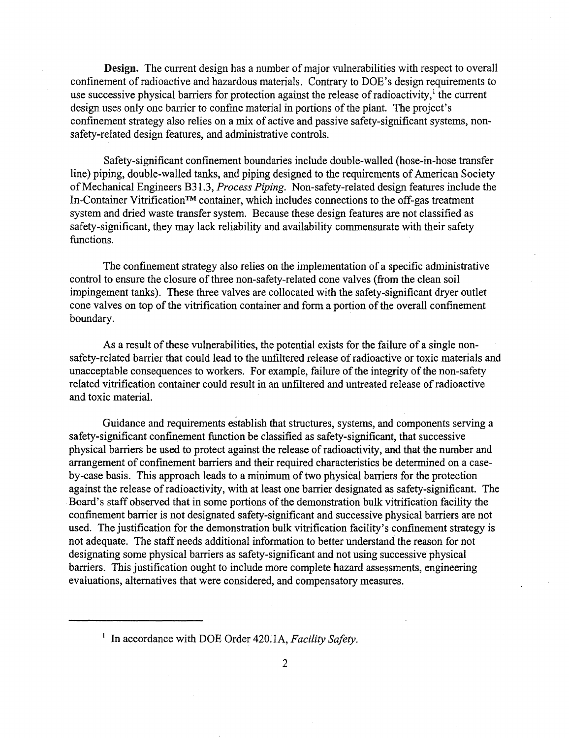Design. The current design has a number of major vulnerabilities with respect to overall confinement of radioactive and hazardous materials . Contrary to DOE's design requirements to use successive physical barriers for protection against the release of radioactivity,<sup>1</sup> the current design uses only one barrier to confine material in portions of the plant. The project's confinement strategy also relies on a mix of active and passive safety-significant systems, nonsafety-related design features, and administrative controls .

Safety-significant confinement boundaries include double-walled (hose-in-hose transfer line) piping, double-walled tanks, and piping designed to the requirements of American Society of Mechanical Engineers B31.3, Process Piping. Non-safety-related design features include the In-Container VitrificationTM container, which includes connections to the off-gas treatment system and dried waste transfer system. Because these design features are not classified as safety-significant, they may lack reliability and availability commensurate with their safety functions.

The confinement strategy also relies on the implementation of a specific administrative control to ensure the closure of three non-safety-related cone valves (from the clean soil impingement tanks) . These three valves are collocated with the safety-significant dryer outlet cone valves on top of the vitrification container and form a portion of the overall confinement boundary.

As a result of these vulnerabilities, the potential exists for the failure of a single nonsafety-related barrier that could lead to the unfiltered release of radioactive or toxic materials and unacceptable consequences to workers. For example, failure of the integrity of the non-safety related vitrification container could result in an unfiltered and untreated release of radioactive and toxic material.

Guidance and requirements establish that structures, systems, and components serving a safety-significant confinement function be classified as safety-significant, that successive physical barriers be used to protect against the release of radioactivity, and that the number and arrangement of confinement barriers and their required characteristics be determined on a caseby-case basis. This approach leads to a minimum of two physical barriers for the protection against the release of radioactivity, with at least one barrier designated as safety-significant. The Board's staff observed that in some portions of the demonstration bulk vitrification facility the confinement barrier is not designated safety-significant and successive physical barriers are not used. The justification for the demonstration bulk vitrification facility's confinement strategy is not adequate. The staff needs additional information to better understand the reason for not designating some physical barriers as safety-significant and not using successive physical barriers. This justification ought to include more complete hazard assessments, engineering evaluations, alternatives that were considered, and compensatory measures .

<sup>&</sup>lt;sup>1</sup> In accordance with DOE Order 420.1A, Facility Safety.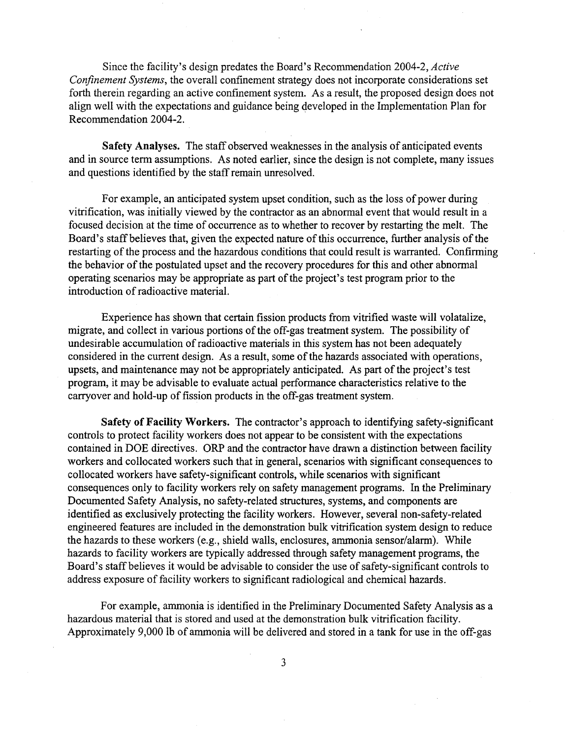Since the facility's design predates the Board's Recommendation 2004-2, Active Confinement Systems, the overall confinement strategy does not incorporate considerations set forth therein regarding an active confinement system. As a result, the proposed design does not align well with the expectations and guidance being developed in the Implementation Plan for Recommendation 2004-2.

Safety Analyses. The staff observed weaknesses in the analysis of anticipated events and in source term assumptions. As noted earlier, since the design is not complete, many issues and questions identified by the staff remain unresolved.

For example, an anticipated system upset condition, such as the loss of power during vitrification, was initially viewed by the contractor as an abnormal event that would result in a focused decision at the time of occurrence as to whether to recover by restarting the melt. The Board's staff believes that, given the expected nature of this occurrence, further analysis of the restarting of the process and the hazardous conditions that could result is warranted. Confirming the behavior of the postulated upset and the recovery procedures for this and other abnormal operating scenarios may be appropriate as part of the project's test program prior to the introduction of radioactive material.

Experience has shown that certain fission products from vitrified waste will volatalize, migrate, and collect in various portions of the off-gas treatment system. The possibility of undesirable accumulation of radioactive materials in this system has not been adequately considered in the current design. As a result, some of the hazards associated with operations, upsets, and maintenance may not be appropriately anticipated. As part of the project's test program, it may be advisable to evaluate actual performance characteristics relative to the carryover and hold-up of fission products in the off-gas treatment system.

Safety of Facility Workers. The contractor's approach to identifying safety-significant controls to protect facility workers does not appear to be consistent with the expectations contained in DOE directives. ORP and the contractor have drawn a distinction between facility workers and collocated workers such that in general, scenarios with significant consequences to collocated workers have safety-significant controls, while scenarios with significant consequences only to facility workers rely on safety management programs. In the Preliminary Documented Safety Analysis, no safety-related structures, systems, and components are identified as exclusively protecting the facility workers. However, several non-safety-related engineered features are included in the demonstration bulk vitrification system design to reduce the hazards to these workers (e.g., shield walls, enclosures, ammonia sensor/alarm). While hazards to facility workers are typically addressed through safety management programs, the Board's staff believes it would be advisable to consider the use of safety-significant controls to address exposure of facility workers to significant radiological and chemical hazards .

For example, ammonia is identified in the Preliminary Documented Safety Analysis as a hazardous material that is stored and used at the demonstration bulk vitrification facility . Approximately 9,000 lb of ammonia will be delivered and stored in a tank for use in the off-gas

3